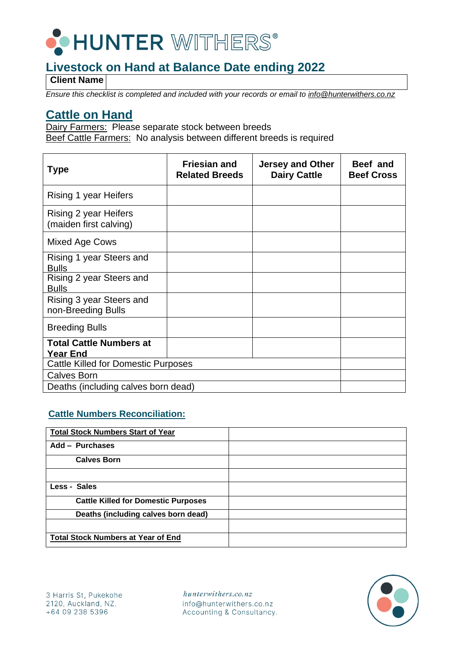

**Client Name**

*Ensure this checklist is completed and included with your records or email to info@hunterwithers.co.nz*

### **Cattle on Hand**

Dairy Farmers: Please separate stock between breeds Beef Cattle Farmers: No analysis between different breeds is required

| <b>Type</b>                                       | <b>Friesian and</b><br><b>Related Breeds</b> | <b>Jersey and Other</b><br><b>Dairy Cattle</b> | Beef and<br><b>Beef Cross</b> |
|---------------------------------------------------|----------------------------------------------|------------------------------------------------|-------------------------------|
| Rising 1 year Heifers                             |                                              |                                                |                               |
| Rising 2 year Heifers<br>(maiden first calving)   |                                              |                                                |                               |
| Mixed Age Cows                                    |                                              |                                                |                               |
| Rising 1 year Steers and<br><b>Bulls</b>          |                                              |                                                |                               |
| Rising 2 year Steers and<br><b>Bulls</b>          |                                              |                                                |                               |
| Rising 3 year Steers and<br>non-Breeding Bulls    |                                              |                                                |                               |
| <b>Breeding Bulls</b>                             |                                              |                                                |                               |
| <b>Total Cattle Numbers at</b><br><b>Year End</b> |                                              |                                                |                               |
| <b>Cattle Killed for Domestic Purposes</b>        |                                              |                                                |                               |
| <b>Calves Born</b>                                |                                              |                                                |                               |
| Deaths (including calves born dead)               |                                              |                                                |                               |

#### **Cattle Numbers Reconciliation:**

| <b>Total Stock Numbers Start of Year</b>   |  |
|--------------------------------------------|--|
| Add - Purchases                            |  |
| <b>Calves Born</b>                         |  |
|                                            |  |
| Less - Sales                               |  |
| <b>Cattle Killed for Domestic Purposes</b> |  |
| Deaths (including calves born dead)        |  |
|                                            |  |
| <b>Total Stock Numbers at Year of End</b>  |  |

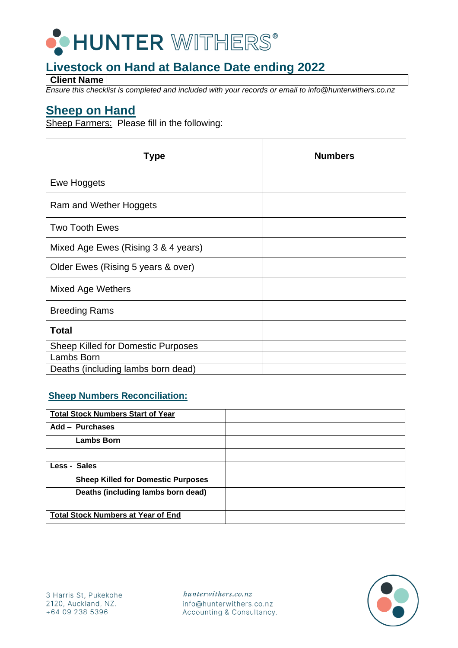

**Client Name**

*Ensure this checklist is completed and included with your records or email to info@hunterwithers.co.nz*

### **Sheep on Hand**

Sheep Farmers: Please fill in the following:

| <b>Type</b>                         | <b>Numbers</b> |
|-------------------------------------|----------------|
| Ewe Hoggets                         |                |
| Ram and Wether Hoggets              |                |
| <b>Two Tooth Ewes</b>               |                |
| Mixed Age Ewes (Rising 3 & 4 years) |                |
| Older Ewes (Rising 5 years & over)  |                |
| <b>Mixed Age Wethers</b>            |                |
| <b>Breeding Rams</b>                |                |
| <b>Total</b>                        |                |
| Sheep Killed for Domestic Purposes  |                |
| Lambs Born                          |                |
| Deaths (including lambs born dead)  |                |

### **Sheep Numbers Reconciliation:**

| <b>Total Stock Numbers Start of Year</b>  |  |
|-------------------------------------------|--|
| Add - Purchases                           |  |
| <b>Lambs Born</b>                         |  |
|                                           |  |
| Less - Sales                              |  |
| <b>Sheep Killed for Domestic Purposes</b> |  |
| Deaths (including lambs born dead)        |  |
|                                           |  |
| <b>Total Stock Numbers at Year of End</b> |  |

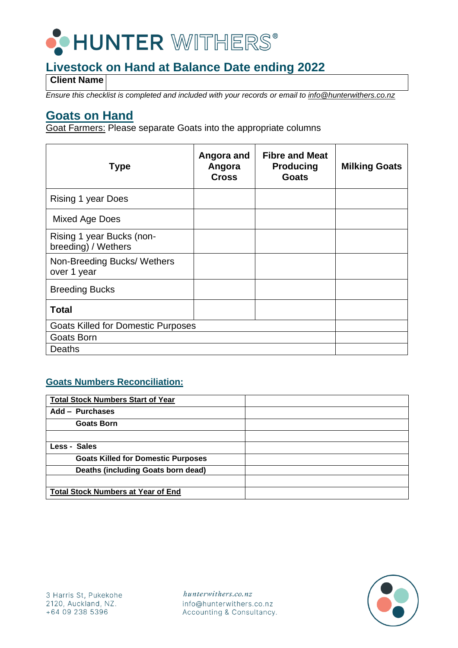

**Client Name**

*Ensure this checklist is completed and included with your records or email to info@hunterwithers.co.nz*

### **Goats on Hand**

Goat Farmers: Please separate Goats into the appropriate columns

| <b>Type</b>                                      | Angora and<br>Angora<br><b>Cross</b> | <b>Fibre and Meat</b><br><b>Producing</b><br><b>Goats</b> | <b>Milking Goats</b> |
|--------------------------------------------------|--------------------------------------|-----------------------------------------------------------|----------------------|
| <b>Rising 1 year Does</b>                        |                                      |                                                           |                      |
| Mixed Age Does                                   |                                      |                                                           |                      |
| Rising 1 year Bucks (non-<br>breeding) / Wethers |                                      |                                                           |                      |
| Non-Breeding Bucks/ Wethers<br>over 1 year       |                                      |                                                           |                      |
| <b>Breeding Bucks</b>                            |                                      |                                                           |                      |
| <b>Total</b>                                     |                                      |                                                           |                      |
| <b>Goats Killed for Domestic Purposes</b>        |                                      |                                                           |                      |
| Goats Born                                       |                                      |                                                           |                      |
| Deaths                                           |                                      |                                                           |                      |

### **Goats Numbers Reconciliation:**

| <b>Total Stock Numbers Start of Year</b>  |  |
|-------------------------------------------|--|
| Add - Purchases                           |  |
| <b>Goats Born</b>                         |  |
|                                           |  |
| Less - Sales                              |  |
| <b>Goats Killed for Domestic Purposes</b> |  |
| Deaths (including Goats born dead)        |  |
|                                           |  |
| <b>Total Stock Numbers at Year of End</b> |  |

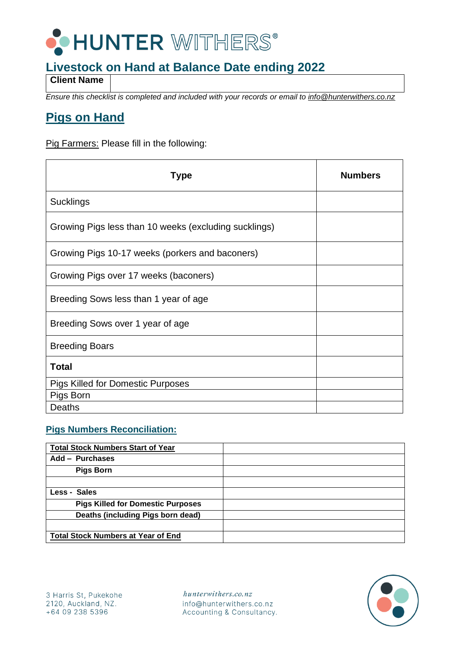

**Client Name**

*Ensure this checklist is completed and included with your records or email to info@hunterwithers.co.nz*

## **Pigs on Hand**

Pig Farmers: Please fill in the following:

| Type                                                  | <b>Numbers</b> |
|-------------------------------------------------------|----------------|
| <b>Sucklings</b>                                      |                |
| Growing Pigs less than 10 weeks (excluding sucklings) |                |
| Growing Pigs 10-17 weeks (porkers and baconers)       |                |
| Growing Pigs over 17 weeks (baconers)                 |                |
| Breeding Sows less than 1 year of age                 |                |
| Breeding Sows over 1 year of age                      |                |
| <b>Breeding Boars</b>                                 |                |
| <b>Total</b>                                          |                |
| <b>Pigs Killed for Domestic Purposes</b>              |                |
| Pigs Born                                             |                |
| Deaths                                                |                |

#### **Pigs Numbers Reconciliation:**

| <b>Total Stock Numbers Start of Year</b>  |  |
|-------------------------------------------|--|
| Add - Purchases                           |  |
| <b>Pigs Born</b>                          |  |
|                                           |  |
| Less - Sales                              |  |
| <b>Pigs Killed for Domestic Purposes</b>  |  |
| Deaths (including Pigs born dead)         |  |
|                                           |  |
| <b>Total Stock Numbers at Year of End</b> |  |